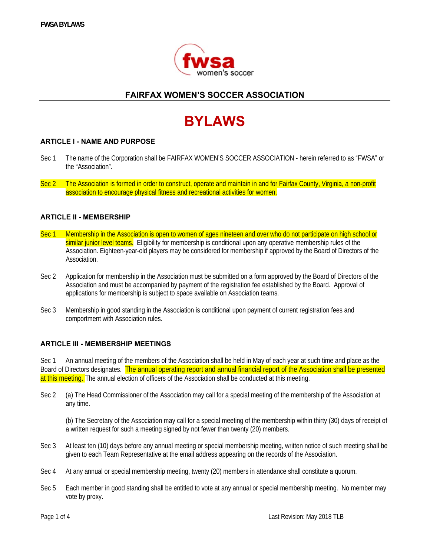

# **FAIRFAX WOMEN'S SOCCER ASSOCIATION**

# **BYLAWS**

#### **ARTICLE I - NAME AND PURPOSE**

- Sec 1 The name of the Corporation shall be FAIRFAX WOMEN'S SOCCER ASSOCIATION herein referred to as "FWSA" or the "Association".
- Sec 2 The Association is formed in order to construct, operate and maintain in and for Fairfax County, Virginia, a non-profit association to encourage physical fitness and recreational activities for women.

#### **ARTICLE II - MEMBERSHIP**

- Sec 1 Membership in the Association is open to women of ages nineteen and over who do not participate on high school or similar junior level teams. Eligibility for membership is conditional upon any operative membership rules of the Association. Eighteen-year-old players may be considered for membership if approved by the Board of Directors of the Association.
- Sec 2 Application for membership in the Association must be submitted on a form approved by the Board of Directors of the Association and must be accompanied by payment of the registration fee established by the Board. Approval of applications for membership is subject to space available on Association teams.
- Sec 3 Membership in good standing in the Association is conditional upon payment of current registration fees and comportment with Association rules.

#### **ARTICLE III - MEMBERSHIP MEETINGS**

Sec 1 An annual meeting of the members of the Association shall be held in May of each year at such time and place as the Board of Directors designates. The annual operating report and annual financial report of the Association shall be presented at this meeting. The annual election of officers of the Association shall be conducted at this meeting.

Sec 2 (a) The Head Commissioner of the Association may call for a special meeting of the membership of the Association at any time.

(b) The Secretary of the Association may call for a special meeting of the membership within thirty (30) days of receipt of a written request for such a meeting signed by not fewer than twenty (20) members.

- Sec 3 At least ten (10) days before any annual meeting or special membership meeting, written notice of such meeting shall be given to each Team Representative at the email address appearing on the records of the Association.
- Sec 4 At any annual or special membership meeting, twenty (20) members in attendance shall constitute a quorum.
- Sec 5 Each member in good standing shall be entitled to vote at any annual or special membership meeting. No member may vote by proxy.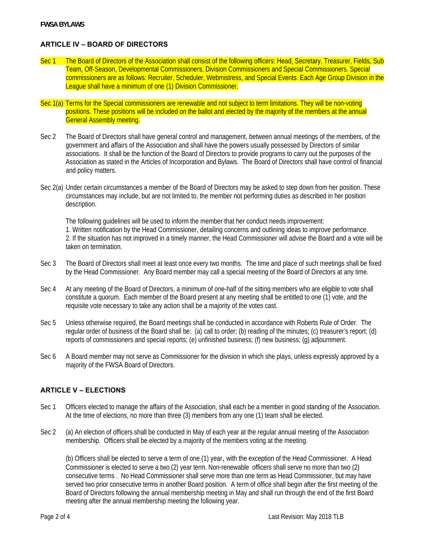# **ARTICLE IV – BOARD OF DIRECTORS**

- Sec 1 The Board of Directors of the Association shall consist of the following officers: Head, Secretary, Treasurer, Fields, Sub Team, Off-Season, Developmental Commissioners, Division Commissioners and Special Commissioners. Special commissioners are as follows: Recruiter, Scheduler, Webmistress, and Special Events. Each Age Group Division in the League shall have a minimum of one (1) Division Commissioner.
- Sec 1(a) Terms for the Special commissioners are renewable and not subject to term limitations. They will be non-voting positions. These positions will be included on the ballot and elected by the majority of the members at the annual General Assembly meeting.
- Sec 2 The Board of Directors shall have general control and management, between annual meetings of the members, of the government and affairs of the Association and shall have the powers usually possessed by Directors of similar associations. It shall be the function of the Board of Directors to provide programs to carry out the purposes of the Association as stated in the Articles of Incorporation and Bylaws. The Board of Directors shall have control of financial and policy matters.
- Sec 2(a) Under certain circumstances a member of the Board of Directors may be asked to step down from her position. These circumstances may include, but are not limited to, the member not performing duties as described in her position description.

 The following guidelines will be used to inform the member that her conduct needs improvement: 1. Written notification by the Head Commissioner, detailing concerns and outlining ideas to improve performance. 2. If the situation has not improved in a timely manner, the Head Commissioner will advise the Board and a vote will be taken on termination.

- Sec 3 The Board of Directors shall meet at least once every two months. The time and place of such meetings shall be fixed by the Head Commissioner. Any Board member may call a special meeting of the Board of Directors at any time.
- Sec 4 At any meeting of the Board of Directors, a minimum of one-half of the sitting members who are eligible to vote shall constitute a quorum. Each member of the Board present at any meeting shall be entitled to one (1) vote, and the requisite vote necessary to take any action shall be a majority of the votes cast.
- Sec 5 Unless otherwise required, the Board meetings shall be conducted in accordance with Roberts Rule of Order. The regular order of business of the Board shall be: (a) call to order; (b) reading of the minutes; (c) treasurer's report; (d) reports of commissioners and special reports; (e) unfinished business; (f) new business; (g) adjournment.
- Sec 6 A Board member may not serve as Commissioner for the division in which she plays, unless expressly approved by a majority of the FWSA Board of Directors.

#### **ARTICLE V – ELECTIONS**

- Sec 1 Officers elected to manage the affairs of the Association, shall each be a member in good standing of the Association. At the time of elections, no more than three (3) members from any one (1) team shall be elected.
- Sec 2 (a) An election of officers shall be conducted in May of each year at the regular annual meeting of the Association membership. Officers shall be elected by a majority of the members voting at the meeting.

(b) Officers shall be elected to serve a term of one (1) year, with the exception of the Head Commissioner. A Head Commissioner is elected to serve a two (2) year term. Non-renewable officers shall serve no more than two (2) consecutive terms . No Head Commissioner shall serve more than one term as Head Commissioner, but may have served two prior consecutive terms in another Board position. A term of office shall begin after the first meeting of the Board of Directors following the annual membership meeting in May and shall run through the end of the first Board meeting after the annual membership meeting the following year.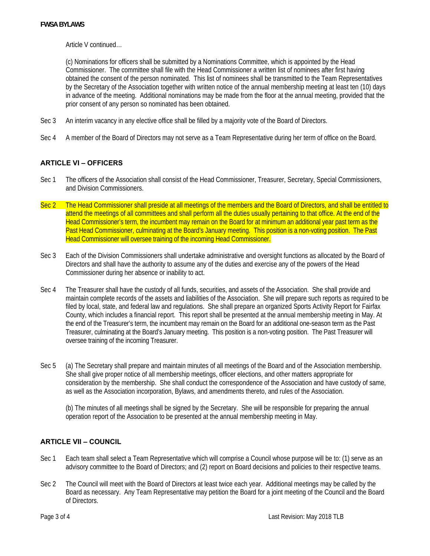Article V continued…

(c) Nominations for officers shall be submitted by a Nominations Committee, which is appointed by the Head Commissioner. The committee shall file with the Head Commissioner a written list of nominees after first having obtained the consent of the person nominated. This list of nominees shall be transmitted to the Team Representatives by the Secretary of the Association together with written notice of the annual membership meeting at least ten (10) days in advance of the meeting. Additional nominations may be made from the floor at the annual meeting, provided that the prior consent of any person so nominated has been obtained.

- Sec 3 An interim vacancy in any elective office shall be filled by a majority vote of the Board of Directors.
- Sec 4 A member of the Board of Directors may not serve as a Team Representative during her term of office on the Board.

# **ARTICLE VI – OFFICERS**

- Sec 1 The officers of the Association shall consist of the Head Commissioner, Treasurer, Secretary, Special Commissioners, and Division Commissioners.
- Sec 2 The Head Commissioner shall preside at all meetings of the members and the Board of Directors, and shall be entitled to attend the meetings of all committees and shall perform all the duties usually pertaining to that office. At the end of the Head Commissioner's term, the incumbent may remain on the Board for at minimum an additional year past term as the Past Head Commissioner, culminating at the Board's January meeting. This position is a non-voting position. The Past Head Commissioner will oversee training of the incoming Head Commissioner.
- Sec 3 Each of the Division Commissioners shall undertake administrative and oversight functions as allocated by the Board of Directors and shall have the authority to assume any of the duties and exercise any of the powers of the Head Commissioner during her absence or inability to act.
- Sec 4 The Treasurer shall have the custody of all funds, securities, and assets of the Association. She shall provide and maintain complete records of the assets and liabilities of the Association. She will prepare such reports as required to be filed by local, state, and federal law and regulations. She shall prepare an organized Sports Activity Report for Fairfax County, which includes a financial report. This report shall be presented at the annual membership meeting in May. At the end of the Treasurer's term, the incumbent may remain on the Board for an additional one-season term as the Past Treasurer, culminating at the Board's January meeting. This position is a non-voting position. The Past Treasurer will oversee training of the incoming Treasurer.
- Sec 5 (a) The Secretary shall prepare and maintain minutes of all meetings of the Board and of the Association membership. She shall give proper notice of all membership meetings, officer elections, and other matters appropriate for consideration by the membership. She shall conduct the correspondence of the Association and have custody of same, as well as the Association incorporation, Bylaws, and amendments thereto, and rules of the Association.

 (b) The minutes of all meetings shall be signed by the Secretary. She will be responsible for preparing the annual operation report of the Association to be presented at the annual membership meeting in May.

# **ARTICLE VII – COUNCIL**

- Sec 1 Each team shall select a Team Representative which will comprise a Council whose purpose will be to: (1) serve as an advisory committee to the Board of Directors; and (2) report on Board decisions and policies to their respective teams.
- Sec 2 The Council will meet with the Board of Directors at least twice each year. Additional meetings may be called by the Board as necessary. Any Team Representative may petition the Board for a joint meeting of the Council and the Board of Directors.